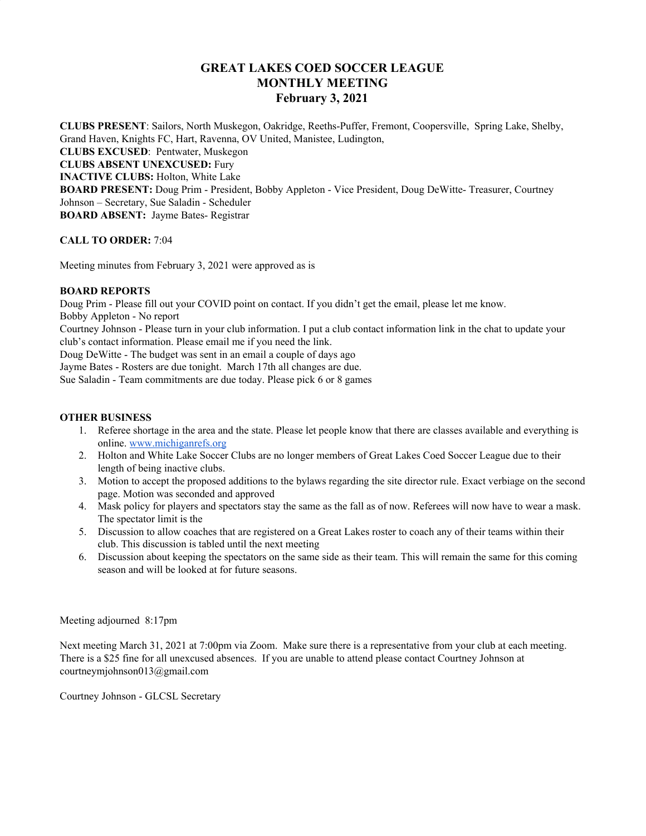# **GREAT LAKES COED SOCCER LEAGUE MONTHLY MEETING February 3, 2021**

**CLUBS PRESENT**: Sailors, North Muskegon, Oakridge, Reeths-Puffer, Fremont, Coopersville, Spring Lake, Shelby, Grand Haven, Knights FC, Hart, Ravenna, OV United, Manistee, Ludington, **CLUBS EXCUSED**: Pentwater, Muskegon **CLUBS ABSENT UNEXCUSED:** Fury **INACTIVE CLUBS:** Holton, White Lake **BOARD PRESENT:** Doug Prim - President, Bobby Appleton - Vice President, Doug DeWitte- Treasurer, Courtney Johnson – Secretary, Sue Saladin - Scheduler **BOARD ABSENT:** Jayme Bates- Registrar

### **CALL TO ORDER:** 7:04

Meeting minutes from February 3, 2021 were approved as is

### **BOARD REPORTS**

Doug Prim - Please fill out your COVID point on contact. If you didn't get the email, please let me know.

Bobby Appleton - No report

Courtney Johnson - Please turn in your club information. I put a club contact information link in the chat to update your club's contact information. Please email me if you need the link.

Doug DeWitte - The budget was sent in an email a couple of days ago

Jayme Bates - Rosters are due tonight. March 17th all changes are due.

Sue Saladin - Team commitments are due today. Please pick 6 or 8 games

## **OTHER BUSINESS**

- 1. Referee shortage in the area and the state. Please let people know that there are classes available and everything is online. [www.michiganrefs.org](http://www.michiganrefs.org/)
- 2. Holton and White Lake Soccer Clubs are no longer members of Great Lakes Coed Soccer League due to their length of being inactive clubs.
- 3. Motion to accept the proposed additions to the bylaws regarding the site director rule. Exact verbiage on the second page. Motion was seconded and approved
- 4. Mask policy for players and spectators stay the same as the fall as of now. Referees will now have to wear a mask. The spectator limit is the
- 5. Discussion to allow coaches that are registered on a Great Lakes roster to coach any of their teams within their club. This discussion is tabled until the next meeting
- 6. Discussion about keeping the spectators on the same side as their team. This will remain the same for this coming season and will be looked at for future seasons.

### Meeting adjourned 8:17pm

Next meeting March 31, 2021 at 7:00pm via Zoom. Make sure there is a representative from your club at each meeting. There is a \$25 fine for all unexcused absences. If you are unable to attend please contact Courtney Johnson at courtneymjohnson013@gmail.com

Courtney Johnson - GLCSL Secretary